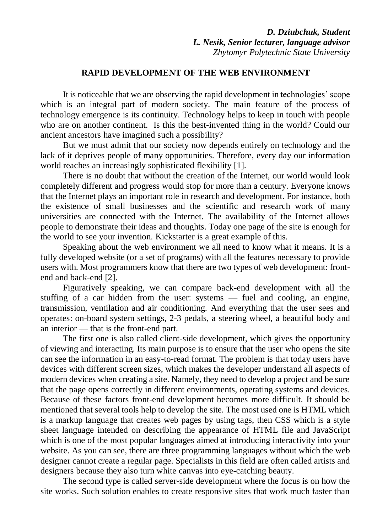## *D. Dziubchuk, Student L. Nesik, Senior lecturer, language advisor Zhytomyr Polytechnic State University*

## **RAPID DEVELOPMENT OF THE WEB ENVIRONMENT**

It is noticeable that we are observing the rapid development in technologies' scope which is an integral part of modern society. The main feature of the process of technology emergence is its continuity. Technology helps to keep in touch with people who are on another continent. Is this the best-invented thing in the world? Could our ancient ancestors have imagined such a possibility?

But we must admit that our society now depends entirely on technology and the lack of it deprives people of many opportunities. Therefore, every day our information world reaches an increasingly sophisticated flexibility [1].

There is no doubt that without the creation of the Internet, our world would look completely different and progress would stop for more than a century. Everyone knows that the Internet plays an important role in research and development. For instance, both the existence of small businesses and the scientific and research work of many universities are connected with the Internet. The availability of the Internet allows people to demonstrate their ideas and thoughts. Today one page of the site is enough for the world to see your invention. Kickstarter is a great example of this.

Speaking about the web environment we all need to know what it means. It is a fully developed website (or a set of programs) with all the features necessary to provide users with. Most programmers know that there are two types of web development: frontend and back-end [2].

Figuratively speaking, we can compare back-end development with all the stuffing of a car hidden from the user: systems — fuel and cooling, an engine, transmission, ventilation and air conditioning. And everything that the user sees and operates: on-board system settings, 2-3 pedals, a steering wheel, a beautiful body and an interior — that is the front-end part.

The first one is also called client-side development, which gives the opportunity of viewing and interacting. Its main purpose is to ensure that the user who opens the site can see the information in an easy-to-read format. The problem is that today users have devices with different screen sizes, which makes the developer understand all aspects of modern devices when creating a site. Namely, they need to develop a project and be sure that the page opens correctly in different environments, operating systems and devices. Because of these factors front-end development becomes more difficult. It should be mentioned that several tools help to develop the site. The most used one is HTML which is a markup language that creates web pages by using tags, then CSS which is a style sheet language intended on describing the appearance of HTML file and JavaScript which is one of the most popular languages aimed at introducing interactivity into your website. As you can see, there are three programming languages without which the web designer cannot create a regular page. Specialists in this field are often called artists and designers because they also turn white canvas into eye-catching beauty.

The second type is called server-side development where the focus is on how the site works. Such solution enables to create responsive sites that work much faster than